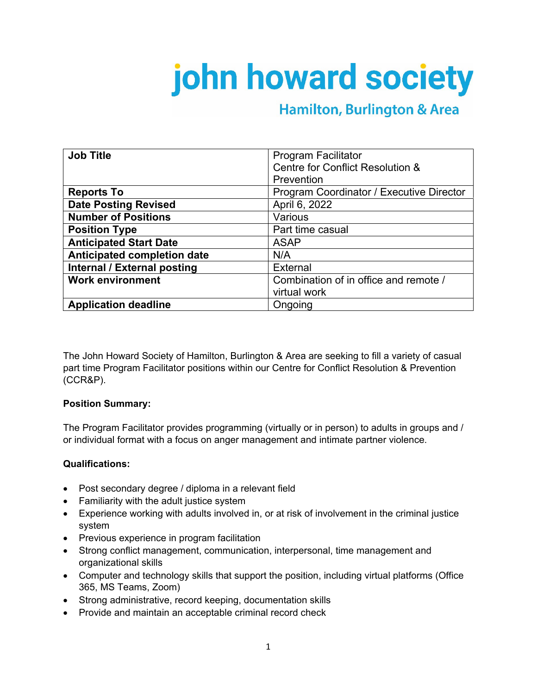# john howard society

# **Hamilton, Burlington & Area**

| <b>Job Title</b>              | <b>Program Facilitator</b>               |
|-------------------------------|------------------------------------------|
|                               | Centre for Conflict Resolution &         |
|                               | Prevention                               |
| <b>Reports To</b>             | Program Coordinator / Executive Director |
| <b>Date Posting Revised</b>   | April 6, 2022                            |
| <b>Number of Positions</b>    | Various                                  |
| <b>Position Type</b>          | Part time casual                         |
| <b>Anticipated Start Date</b> | <b>ASAP</b>                              |
| Anticipated completion date   | N/A                                      |
| Internal / External posting   | <b>External</b>                          |
| <b>Work environment</b>       | Combination of in office and remote /    |
|                               | virtual work                             |
| <b>Application deadline</b>   | Ongoing                                  |

The John Howard Society of Hamilton, Burlington & Area are seeking to fill a variety of casual part time Program Facilitator positions within our Centre for Conflict Resolution & Prevention (CCR&P).

#### **Position Summary:**

The Program Facilitator provides programming (virtually or in person) to adults in groups and / or individual format with a focus on anger management and intimate partner violence.

## **Qualifications:**

- Post secondary degree / diploma in a relevant field
- Familiarity with the adult justice system
- Experience working with adults involved in, or at risk of involvement in the criminal justice system
- Previous experience in program facilitation
- Strong conflict management, communication, interpersonal, time management and organizational skills
- Computer and technology skills that support the position, including virtual platforms (Office 365, MS Teams, Zoom)
- Strong administrative, record keeping, documentation skills
- Provide and maintain an acceptable criminal record check